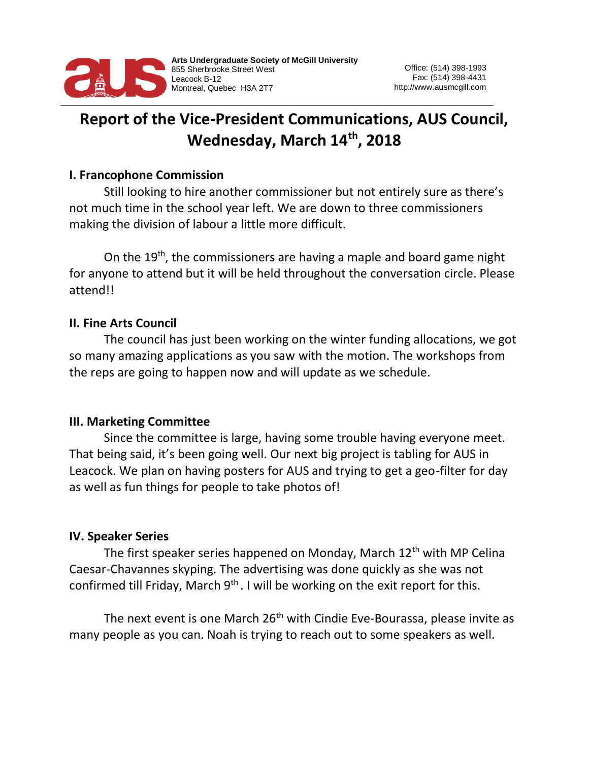

# **Report of the Vice-President Communications, AUS Council, Wednesday, March 14th, 2018**

#### **I. Francophone Commission**

Still looking to hire another commissioner but not entirely sure as there's not much time in the school year left. We are down to three commissioners making the division of labour a little more difficult.

On the 19<sup>th</sup>, the commissioners are having a maple and board game night for anyone to attend but it will be held throughout the conversation circle. Please attend!!

### **II. Fine Arts Council**

The council has just been working on the winter funding allocations, we got so many amazing applications as you saw with the motion. The workshops from the reps are going to happen now and will update as we schedule.

### **III. Marketing Committee**

Since the committee is large, having some trouble having everyone meet. That being said, it's been going well. Our next big project is tabling for AUS in Leacock. We plan on having posters for AUS and trying to get a geo-filter for day as well as fun things for people to take photos of!

#### **IV. Speaker Series**

The first speaker series happened on Monday, March 12<sup>th</sup> with MP Celina Caesar-Chavannes skyping. The advertising was done quickly as she was not confirmed till Friday, March  $9<sup>th</sup>$ . I will be working on the exit report for this.

The next event is one March 26<sup>th</sup> with Cindie Eve-Bourassa, please invite as many people as you can. Noah is trying to reach out to some speakers as well.